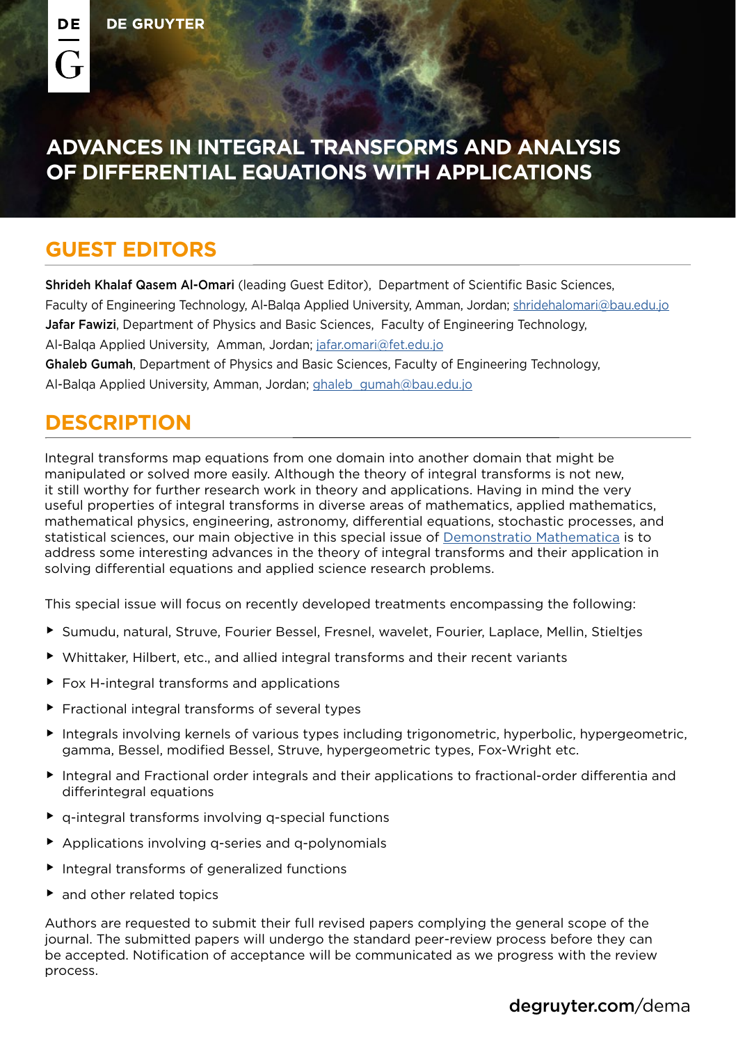## **ADVANCES IN INTEGRAL TRANSFORMS AND ANALYSIS OF DIFFERENTIAL EQUATIONS WITH APPLICATIONS**

## **GUEST EDITORS**

Shrideh Khalaf Qasem Al-Omari (leading Guest Editor), Department of Scientific Basic Sciences, Faculty of Engineering Technology, Al-Balqa Applied University, Amman, Jordan; [shridehalomari@bau.edu.jo](mailto:shridehalomari%40bau.edu.jo?subject=) Jafar Fawizi, Department of Physics and Basic Sciences, Faculty of Engineering Technology, Al-Balqa Applied University, Amman, Jordan; [jafar.omari@fet.edu.jo](mailto:jafar.omari%40fet.edu.jo?subject=) Ghaleb Gumah, Department of Physics and Basic Sciences, Faculty of Engineering Technology, Al-Balqa Applied University, Amman, Jordan; [ghaleb\\_gumah@bau.edu.jo](mailto:ghaleb_gumah%40bau.edu.jo?subject=)

## **DESCRIPTION**

Integral transforms map equations from one domain into another domain that might be manipulated or solved more easily. Although the theory of integral transforms is not new, it still worthy for further research work in theory and applications. Having in mind the very useful properties of integral transforms in diverse areas of mathematics, applied mathematics, mathematical physics, engineering, astronomy, differential equations, stochastic processes, and statistical sciences, our main objective in this special issue of [Demonstratio Mathematica](http://degruyter.com/dema) is to address some interesting advances in the theory of integral transforms and their application in solving differential equations and applied science research problems.

This special issue will focus on recently developed treatments encompassing the following:

- ▶ Sumudu, natural, Struve, Fourier Bessel, Fresnel, wavelet, Fourier, Laplace, Mellin, Stielties
- $\blacktriangleright$  Whittaker, Hilbert, etc., and allied integral transforms and their recent variants
- $\blacktriangleright$  Fox H-integral transforms and applications
- $\blacktriangleright$  Fractional integral transforms of several types
- $\blacktriangleright$  Integrals involving kernels of various types including trigonometric, hyperbolic, hypergeometric, gamma, Bessel, modified Bessel, Struve, hypergeometric types, Fox-Wright etc.
- $\blacktriangleright$  Integral and Fractional order integrals and their applications to fractional-order differentia and differintegral equations
- $\triangleright$  q-integral transforms involving q-special functions
- $\blacktriangleright$  Applications involving q-series and q-polynomials
- $\blacktriangleright$  Integral transforms of generalized functions
- $\blacktriangleright$  and other related topics

Authors are requested to submit their full revised papers complying the general scope of the journal. The submitted papers will undergo the standard peer-review process before they can be accepted. Notification of acceptance will be communicated as we progress with the review process.